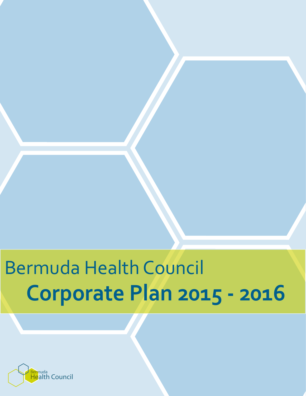# Corporate Plan 2015 - 2016 Bermuda Health Council

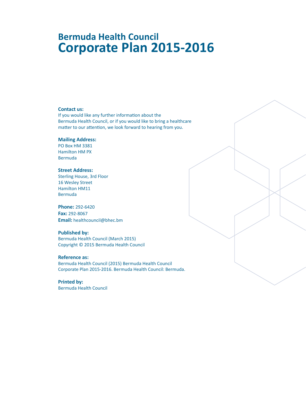# **Bermuda Health Council Corporate Plan 2015-2016**

#### **Contact us:**

If you would like any further information about the Bermuda Health Council, or if you would like to bring a healthcare matter to our attention, we look forward to hearing from you.

#### **Mailing Address:**

PO Box HM 3381 Hamilton HM PX Bermuda

#### **Street Address:**

Sterling House, 3rd Floor 16 Wesley Street Hamilton HM11 Bermuda

#### **Phone:** 292-6420

**Fax:** 292-8067 **Email:** healthcouncil@bhec.bm

#### **Published by:**

Bermuda Health Council (March 2015) Copyright © 2015 Bermuda Health Council

#### **Reference as:**

Bermuda Health Council (2015) Bermuda Health Council Corporate Plan 2015-2016. Bermuda Health Council: Bermuda.

**Printed by:** Bermuda Health Council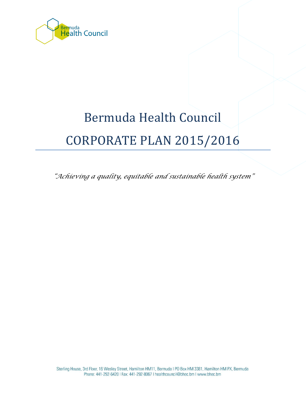

# Bermuda Health Council CORPORATE PLAN 2015/2016

*"Achieving a quality, equitable and sustainable health system"*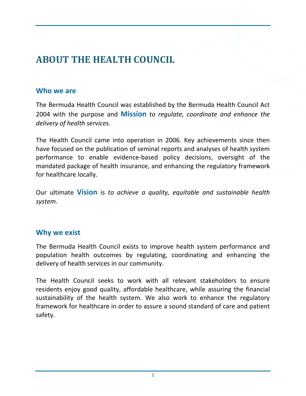# **ABOUT THE HEALTH COUNCIL**

#### **Who we are**

The Bermuda Health Council was established by the Bermuda Health Council Act 2004 with the purpose and **Mission** *to regulate, coordinate and enhance the delivery of health services.*

The Health Council came into operation in 2006. Key achievements since then have focused on the publication of seminal reports and analyses of health system performance to enable evidence-based policy decisions, oversight of the mandated package of health insurance, and enhancing the regulatory framework for healthcare locally.

Our ultimate **Vision** is *to achieve a quality, equitable and sustainable health system.*

## **Why we exist**

The Bermuda Health Council exists to improve health system performance and population health outcomes by regulating, coordinating and enhancing the delivery of health services in our community.

The Health Council seeks to work with all relevant stakeholders to ensure residents enjoy good quality, affordable healthcare, while assuring the financial sustainability of the health system. We also work to enhance the regulatory framework for healthcare in order to assure a sound standard of care and patient safety.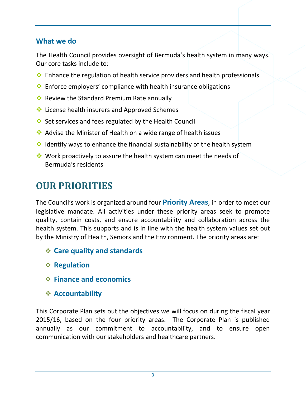## **What we do**

The Health Council provides oversight of Bermuda's health system in many ways. Our core tasks include to:

- $\cdot$  Enhance the regulation of health service providers and health professionals
- $\cdot$  Enforce employers' compliance with health insurance obligations
- $\cdot$  Review the Standard Premium Rate annually
- **↓** License health insurers and Approved Schemes
- **Set services and fees regulated by the Health Council**
- Advise the Minister of Health on a wide range of health issues
- $\cdot$  Identify ways to enhance the financial sustainability of the health system
- $\cdot$  Work proactively to assure the health system can meet the needs of Bermuda's residents

# **OUR PRIORITIES**

The Council's work is organized around four **Priority Areas**, in order to meet our legislative mandate. All activities under these priority areas seek to promote quality, contain costs, and ensure accountability and collaboration across the health system. This supports and is in line with the health system values set out by the Ministry of Health, Seniors and the Environment. The priority areas are:

- **Care quality and standards**
- **Regulation**
- **Finance and economics**
- **Accountability**

This Corporate Plan sets out the objectives we will focus on during the fiscal year 2015/16, based on the four priority areas. The Corporate Plan is published annually as our commitment to accountability, and to ensure open communication with our stakeholders and healthcare partners.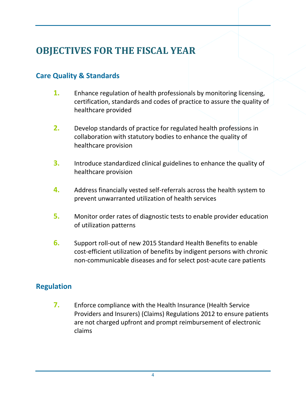# **OBJECTIVES FOR THE FISCAL YEAR**

## **Care Quality & Standards**

- **1.** Enhance regulation of health professionals by monitoring licensing, certification, standards and codes of practice to assure the quality of healthcare provided
- **2.** Develop standards of practice for regulated health professions in collaboration with statutory bodies to enhance the quality of healthcare provision
- **3.** Introduce standardized clinical guidelines to enhance the quality of healthcare provision
- **4.** Address financially vested self-referrals across the health system to prevent unwarranted utilization of health services
- **5.** Monitor order rates of diagnostic tests to enable provider education of utilization patterns
- **6.** Support roll-out of new 2015 Standard Health Benefits to enable cost-efficient utilization of benefits by indigent persons with chronic non-communicable diseases and for select post-acute care patients

### **Regulation**

**7.** Enforce compliance with the Health Insurance (Health Service Providers and Insurers) (Claims) Regulations 2012 to ensure patients are not charged upfront and prompt reimbursement of electronic claims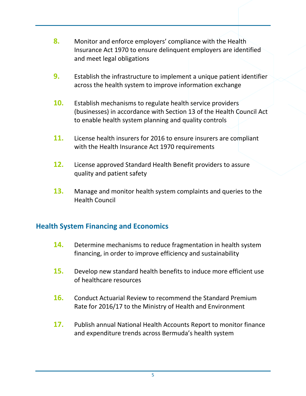- **8.** Monitor and enforce employers' compliance with the Health Insurance Act 1970 to ensure delinquent employers are identified and meet legal obligations
- **9.** Establish the infrastructure to implement a unique patient identifier across the health system to improve information exchange
- **10.** Establish mechanisms to regulate health service providers (businesses) in accordance with Section 13 of the Health Council Act to enable health system planning and quality controls
- **11.** License health insurers for 2016 to ensure insurers are compliant with the Health Insurance Act 1970 requirements
- **12.** License approved Standard Health Benefit providers to assure quality and patient safety
- **13.** Manage and monitor health system complaints and queries to the Health Council

## **Health System Financing and Economics**

- **14.** Determine mechanisms to reduce fragmentation in health system financing, in order to improve efficiency and sustainability
- **15.** Develop new standard health benefits to induce more efficient use of healthcare resources
- **16.** Conduct Actuarial Review to recommend the Standard Premium Rate for 2016/17 to the Ministry of Health and Environment
- **17.** Publish annual National Health Accounts Report to monitor finance and expenditure trends across Bermuda's health system